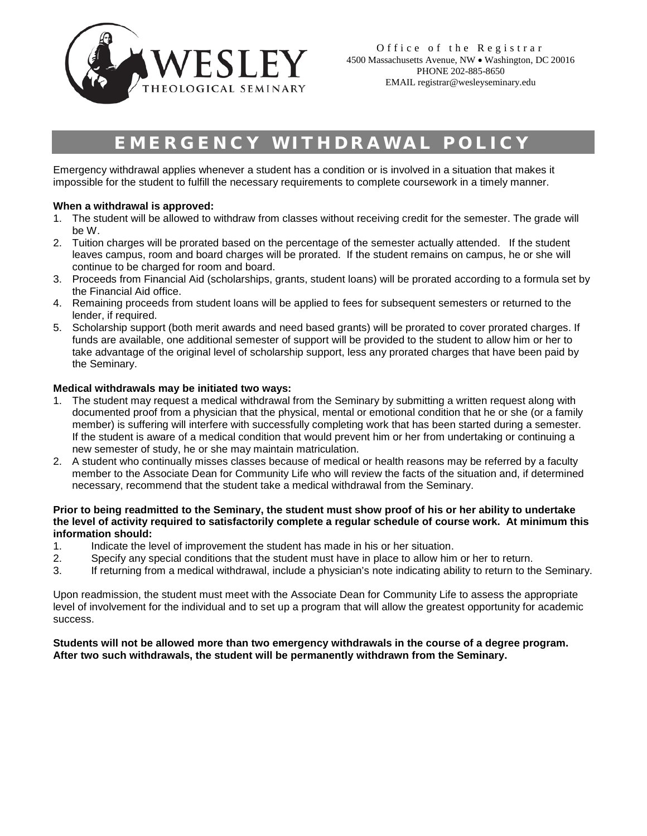

# EMERGENCY WITHDRAWAL POLICY

Emergency withdrawal applies whenever a student has a condition or is involved in a situation that makes it impossible for the student to fulfill the necessary requirements to complete coursework in a timely manner.

## **When a withdrawal is approved:**

- 1. The student will be allowed to withdraw from classes without receiving credit for the semester. The grade will be W.
- 2. Tuition charges will be prorated based on the percentage of the semester actually attended. If the student leaves campus, room and board charges will be prorated. If the student remains on campus, he or she will continue to be charged for room and board.
- 3. Proceeds from Financial Aid (scholarships, grants, student loans) will be prorated according to a formula set by the Financial Aid office.
- 4. Remaining proceeds from student loans will be applied to fees for subsequent semesters or returned to the lender, if required.
- 5. Scholarship support (both merit awards and need based grants) will be prorated to cover prorated charges. If funds are available, one additional semester of support will be provided to the student to allow him or her to take advantage of the original level of scholarship support, less any prorated charges that have been paid by the Seminary.

### **Medical withdrawals may be initiated two ways:**

- 1. The student may request a medical withdrawal from the Seminary by submitting a written request along with documented proof from a physician that the physical, mental or emotional condition that he or she (or a family member) is suffering will interfere with successfully completing work that has been started during a semester. If the student is aware of a medical condition that would prevent him or her from undertaking or continuing a new semester of study, he or she may maintain matriculation.
- 2. A student who continually misses classes because of medical or health reasons may be referred by a faculty member to the Associate Dean for Community Life who will review the facts of the situation and, if determined necessary, recommend that the student take a medical withdrawal from the Seminary.

#### **Prior to being readmitted to the Seminary, the student must show proof of his or her ability to undertake the level of activity required to satisfactorily complete a regular schedule of course work. At minimum this information should:**

- 1. Indicate the level of improvement the student has made in his or her situation.
- 2. Specify any special conditions that the student must have in place to allow him or her to return.
- 3. If returning from a medical withdrawal, include a physician's note indicating ability to return to the Seminary.

Upon readmission, the student must meet with the Associate Dean for Community Life to assess the appropriate level of involvement for the individual and to set up a program that will allow the greatest opportunity for academic success.

#### **Students will not be allowed more than two emergency withdrawals in the course of a degree program. After two such withdrawals, the student will be permanently withdrawn from the Seminary.**